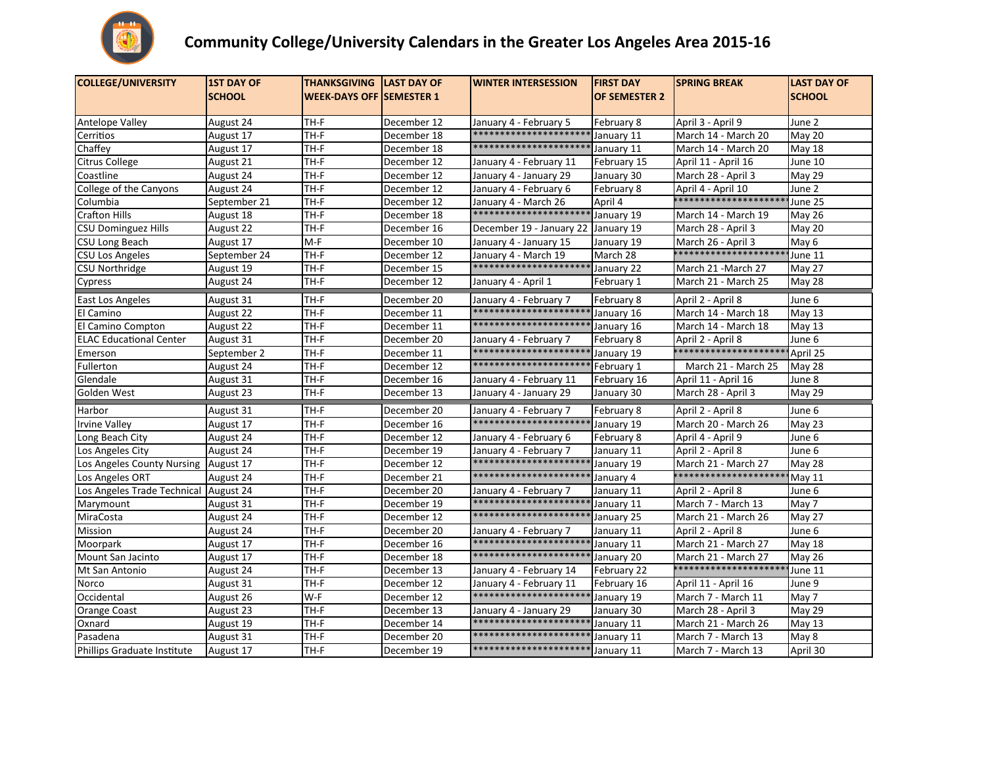

## Community College/University Calendars in the Greater Los Angeles Area 2015-16

| <b>COLLEGE/UNIVERSITY</b>             | <b>1ST DAY OF</b> | <b>THANKSGIVING</b>             | <b>LAST DAY OF</b> | <b>WINTER INTERSESSION</b> | <b>FIRST DAY</b>     | <b>SPRING BREAK</b>  | <b>LAST DAY OF</b> |
|---------------------------------------|-------------------|---------------------------------|--------------------|----------------------------|----------------------|----------------------|--------------------|
|                                       | <b>SCHOOL</b>     | <b>WEEK-DAYS OFF SEMESTER 1</b> |                    |                            | <b>OF SEMESTER 2</b> |                      | <b>SCHOOL</b>      |
|                                       |                   |                                 |                    |                            |                      |                      |                    |
| <b>Antelope Valley</b>                | August 24         | TH-F                            | December 12        | January 4 - February 5     | February 8           | April 3 - April 9    | June 2             |
| Cerritios                             | August 17         | TH-F                            | December 18        | *********************      | January 11           | March 14 - March 20  | May 20             |
| Chaffey                               | August 17         | TH-F                            | December 18        | *********************      | January 11           | March 14 - March 20  | <b>May 18</b>      |
| Citrus College                        | August 21         | TH-F                            | December 12        | January 4 - February 11    | February 15          | April 11 - April 16  | June 10            |
| Coastline                             | August 24         | TH-F                            | December 12        | January 4 - January 29     | January 30           | March 28 - April 3   | May 29             |
| College of the Canyons                | August 24         | $TH-F$                          | December 12        | January 4 - February 6     | February 8           | April 4 - April 10   | June $2$           |
| Columbia                              | September 21      | TH-F                            | December 12        | January 4 - March 26       | April 4              | ******************   | June 25            |
| <b>Crafton Hills</b>                  | August 18         | TH-F                            | December 18        | *********************      | January 19           | March 14 - March 19  | <b>May 26</b>      |
| <b>CSU Dominguez Hills</b>            | August 22         | TH-F                            | December 16        | December 19 - January 22   | January 19           | March 28 - April 3   | May 20             |
| CSU Long Beach                        | August 17         | $M-F$                           | December 10        | January 4 - January 15     | January 19           | March 26 - April 3   | May 6              |
| <b>CSU Los Angeles</b>                | September 24      | TH-F                            | December 12        | January 4 - March 19       | March 28             | *******************  | June 11            |
| CSU Northridge                        | August 19         | TH-F                            | December 15        | *********************      | January 22           | March 21 -March 27   | May 27             |
| Cypress                               | August 24         | TH-F                            | December 12        | January 4 - April 1        | February 1           | March 21 - March 25  | <b>May 28</b>      |
| East Los Angeles                      | August 31         | TH-F                            | December 20        | January 4 - February 7     | February 8           | April 2 - April 8    | June 6             |
| El Camino                             | August 22         | $TH-F$                          | December 11        | **********************     | January 16           | March 14 - March 18  | <b>May 13</b>      |
| El Camino Compton                     | August 22         | TH-F                            | December 11        | *********************      | January 16           | March 14 - March 18  | <b>May 13</b>      |
| <b>ELAC Educational Center</b>        | August 31         | TH-F                            | December 20        | January 4 - February 7     | February 8           | April 2 - April 8    | June 6             |
| Emerson                               | September 2       | TH-F                            | December 11        | *********************      | January 19           | *******************  | April 25           |
| Fullerton                             | August 24         | TH-F                            | December 12        | *********************      | February 1           | March 21 - March 25  | May 28             |
| Glendale                              | August 31         | $TH-F$                          | December 16        | January 4 - February 11    | February 16          | April 11 - April 16  | June 8             |
| Golden West                           | August 23         | $TH-F$                          | December 13        | January 4 - January 29     | January 30           | March 28 - April 3   | May 29             |
| Harbor                                | August 31         | TH-F                            | December 20        | January 4 - February 7     | February 8           | April 2 - April 8    | June 6             |
| <b>Irvine Valley</b>                  | August 17         | $TH-F$                          | December 16        | **********************     | January 19           | March 20 - March 26  | May 23             |
| Long Beach City                       | August 24         | $TH-F$                          | December 12        | January 4 - February 6     | February 8           | April 4 - April 9    | June 6             |
| Los Angeles City                      | August 24         | TH-F                            | December 19        | January 4 - February 7     | January 11           | April 2 - April 8    | June 6             |
| Los Angeles County Nursing            | August 17         | TH-F                            | December 12        | *********************      | January 19           | March 21 - March 27  | May 28             |
| Los Angeles ORT                       | August 24         | TH-F                            | December 21        | *********************      | January 4            | *******************  | <b>May 11</b>      |
| Los Angeles Trade Technical August 24 |                   | TH-F                            | December 20        | January 4 - February 7     | January 11           | April 2 - April 8    | June 6             |
| Marymount                             | August 31         | $TH-F$                          | December 19        | *********************      | January 11           | March 7 - March 13   | May 7              |
| MiraCosta                             | August 24         | TH-F                            | December 12        | *********************      | January 25           | March 21 - March 26  | May 27             |
| Mission                               | August 24         | TH-F                            | December 20        | January 4 - February 7     | January 11           | April 2 - April 8    | June 6             |
| Moorpark                              | August 17         | TH-F                            | December 16        | **********************     | January 11           | March 21 - March 27  | <b>May 18</b>      |
| Mount San Jacinto                     | August 17         | TH-F                            | December 18        | *********************      | January 20           | March 21 - March 27  | <b>May 26</b>      |
| Mt San Antonio                        | August 24         | $TH-F$                          | December 13        | January 4 - February 14    | February 22          | ******************** | June 11            |
| Norco                                 | August 31         | TH-F                            | December 12        | January 4 - February 11    | February 16          | April 11 - April 16  | June 9             |
| Occidental                            | August 26         | $W-F$                           | December 12        | *********************      | January 19           | March 7 - March 11   | May 7              |
| <b>Orange Coast</b>                   | August 23         | TH-F                            | December 13        | January 4 - January 29     | January 30           | March 28 - April 3   | May 29             |
| Oxnard                                | August 19         | TH-F                            | December 14        | *********************      | January 11           | March 21 - March 26  | <b>May 13</b>      |
| Pasadena                              | August 31         | $TH-F$                          | December 20        | ******************         | January 11           | March 7 - March 13   | May 8              |
| Phillips Graduate Institute           | August 17         | $TH-F$                          | December 19        | **********************     | January 11           | March 7 - March 13   | April 30           |